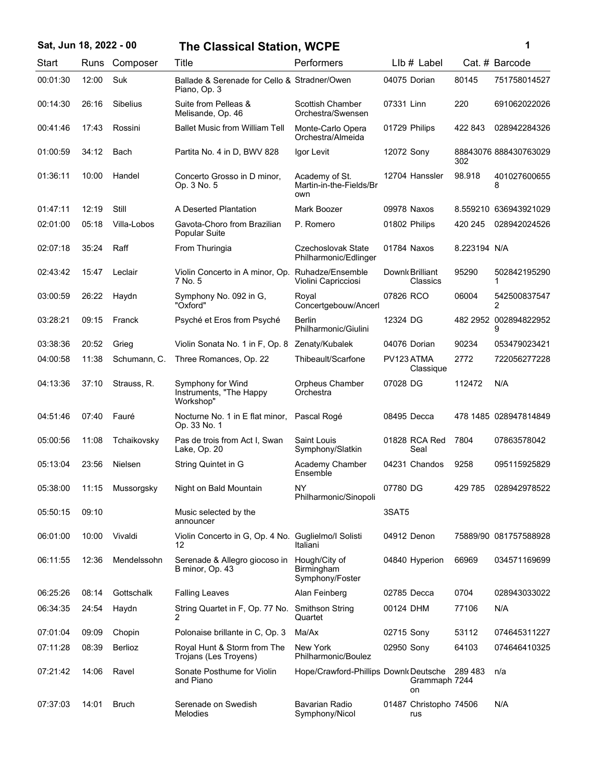| Sat, Jun 18, 2022 - 00 |       |                 | <b>The Classical Station, WCPE</b>                           |                                                  |                               |              | 1                          |
|------------------------|-------|-----------------|--------------------------------------------------------------|--------------------------------------------------|-------------------------------|--------------|----------------------------|
| Start                  |       | Runs Composer   | Title                                                        | Performers                                       | LIb # Label                   |              | Cat. # Barcode             |
| 00:01:30               | 12:00 | Suk             | Ballade & Serenade for Cello & Stradner/Owen<br>Piano, Op. 3 |                                                  | 04075 Dorian                  | 80145        | 751758014527               |
| 00:14:30               | 26:16 | <b>Sibelius</b> | Suite from Pelleas &<br>Melisande, Op. 46                    | <b>Scottish Chamber</b><br>Orchestra/Swensen     | 07331 Linn                    | 220          | 691062022026               |
| 00:41:46               | 17:43 | Rossini         | <b>Ballet Music from William Tell</b>                        | Monte-Carlo Opera<br>Orchestra/Almeida           | 01729 Philips                 | 422 843      | 028942284326               |
| 01:00:59               | 34:12 | Bach            | Partita No. 4 in D, BWV 828                                  | Igor Levit                                       | 12072 Sony                    | 302          | 88843076 888430763029      |
| 01:36:11               | 10:00 | Handel          | Concerto Grosso in D minor,<br>Op. 3 No. 5                   | Academy of St.<br>Martin-in-the-Fields/Br<br>own | 12704 Hanssler                | 98.918       | 401027600655<br>8          |
| 01:47:11               | 12:19 | Still           | A Deserted Plantation                                        | Mark Boozer                                      | 09978 Naxos                   |              | 8.559210 636943921029      |
| 02:01:00               | 05:18 | Villa-Lobos     | Gavota-Choro from Brazilian<br><b>Popular Suite</b>          | P. Romero                                        | 01802 Philips                 | 420 245      | 028942024526               |
| 02:07:18               | 35:24 | Raff            | From Thuringia                                               | Czechoslovak State<br>Philharmonic/Edlinger      | 01784 Naxos                   | 8.223194 N/A |                            |
| 02:43:42               | 15:47 | Leclair         | Violin Concerto in A minor, Op. Ruhadze/Ensemble<br>7 No. 5  | Violini Capricciosi                              | Downk Brilliant<br>Classics   | 95290        | 502842195290<br>1          |
| 03:00:59               | 26:22 | Haydn           | Symphony No. 092 in G,<br>"Oxford"                           | Royal<br>Concertgebouw/Ancerl                    | 07826 RCO                     | 06004        | 542500837547<br>2          |
| 03:28:21               | 09:15 | Franck          | Psyché et Eros from Psyché                                   | Berlin<br>Philharmonic/Giulini                   | 12324 DG                      |              | 482 2952 002894822952<br>9 |
| 03:38:36               | 20:52 | Grieg           | Violin Sonata No. 1 in F, Op. 8                              | Zenaty/Kubalek                                   | 04076 Dorian                  | 90234        | 053479023421               |
| 04:00:58               | 11:38 | Schumann, C.    | Three Romances, Op. 22                                       | Thibeault/Scarfone                               | PV123 ATMA<br>Classique       | 2772         | 722056277228               |
| 04:13:36               | 37:10 | Strauss, R.     | Symphony for Wind<br>Instruments, "The Happy<br>Workshop"    | Orpheus Chamber<br>Orchestra                     | 07028 DG                      | 112472       | N/A                        |
| 04:51:46               | 07:40 | Fauré           | Nocturne No. 1 in E flat minor,<br>Op. 33 No. 1              | Pascal Rogé                                      | 08495 Decca                   |              | 478 1485 028947814849      |
| 05:00:56               | 11:08 | Tchaikovsky     | Pas de trois from Act I, Swan<br>Lake, Op. 20                | Saint Louis<br>Symphony/Slatkin                  | 01828 RCA Red<br>Seal         | 7804         | 07863578042                |
| 05:13:04               | 23:56 | Nielsen         | String Quintet in G                                          | Academy Chamber<br>Ensemble                      | 04231 Chandos                 | 9258         | 095115925829               |
| 05:38:00               | 11:15 | Mussorgsky      | Night on Bald Mountain                                       | <b>NY</b><br>Philharmonic/Sinopoli               | 07780 DG                      | 429 785      | 028942978522               |
| 05:50:15               | 09:10 |                 | Music selected by the<br>announcer                           |                                                  | 3SAT5                         |              |                            |
| 06:01:00               | 10:00 | Vivaldi         | Violin Concerto in G, Op. 4 No. Guglielmo/I Solisti<br>12    | Italiani                                         | 04912 Denon                   |              | 75889/90 081757588928      |
| 06:11:55               | 12:36 | Mendelssohn     | Serenade & Allegro giocoso in<br>B minor, Op. 43             | Hough/City of<br>Birmingham<br>Symphony/Foster   | 04840 Hyperion                | 66969        | 034571169699               |
| 06:25:26               | 08:14 | Gottschalk      | <b>Falling Leaves</b>                                        | Alan Feinberg                                    | 02785 Decca                   | 0704         | 028943033022               |
| 06:34:35               | 24:54 | Haydn           | String Quartet in F, Op. 77 No.<br>2                         | <b>Smithson String</b><br>Quartet                | 00124 DHM                     | 77106        | N/A                        |
| 07:01:04               | 09:09 | Chopin          | Polonaise brillante in C, Op. 3                              | Ma/Ax                                            | 02715 Sony                    | 53112        | 074645311227               |
| 07:11:28               | 08:39 | Berlioz         | Royal Hunt & Storm from The<br>Trojans (Les Troyens)         | New York<br>Philharmonic/Boulez                  | 02950 Sony                    | 64103        | 074646410325               |
| 07:21:42               | 14:06 | Ravel           | Sonate Posthume for Violin<br>and Piano                      | Hope/Crawford-Phillips Downk Deutsche            | Grammaph 7244<br>on           | 289 483      | n/a                        |
| 07:37:03               | 14:01 | <b>Bruch</b>    | Serenade on Swedish<br><b>Melodies</b>                       | Bavarian Radio<br>Symphony/Nicol                 | 01487 Christopho 74506<br>rus |              | N/A                        |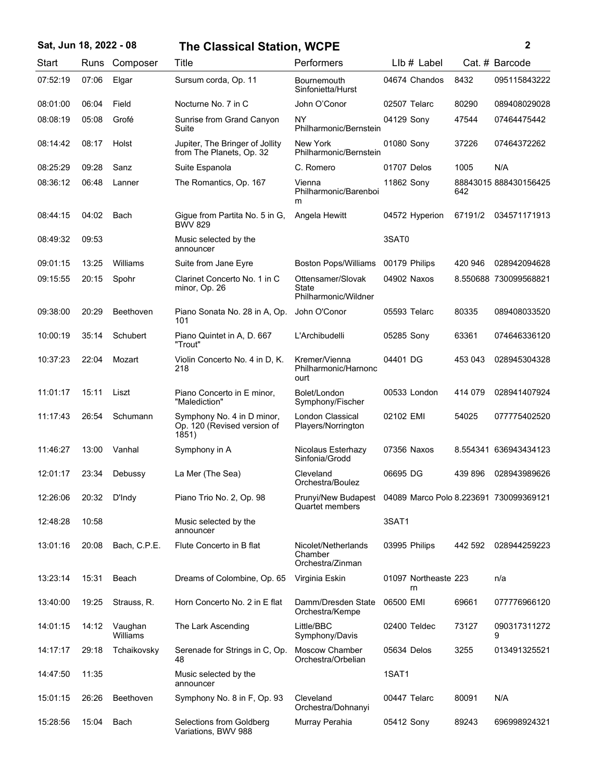## 07:52:19 07:06 Elgar Sursum corda, Op. 11 Bournemouth 04674 Chandos 8432 095115843222 Sinfonietta/Hurst 08:01:00 06:04 Field Nocturne No. 7 in C John O'Conor 02507 Telarc 80290 089408029028 08:08:19 05:08 Grofé Sunrise from Grand Canyon NY 04129 Sony 47544 07464475442 Suite Philharmonic/Bernstein 08:14:42 08:17 Holst Jupiter, The Bringer of Jollity New York 01080 Sony 37226 07464372262 from The Planets, Op. 32 Philharmonic/Bernstein 08:25:29 Sanz 09:28 Suite Espanola C. Romero 01707 Delos 1005 N/A 08:36:12 06:48 Lanner The Romantics, Op. 167 Vienna 11862 Sony 642 888430156425 Philharmonic/Barenboi m 08:44:15 04:02 Bach Gigue from Partita No. 5 in G, Angela Hewitt 04572 Hyperion 67191/2 034571171913 BWV 829 09:53 Music selected by the 3SAT0 announcer 08:49:32 09:01:15 13:25 Williams Suite from Jane Eyre Boston Pops/Williams 00179 Philips 420 946 028942094628 09:15:55 20:15 Spohr Clarinet Concerto No. 1 in C Ottensamer/Slovak 04902 Naxos 8.550688 730099568821 minor, Op. 26 **State** Philharmonic/Wildner 09:38:00 20:29 Beethoven Piano Sonata No. 28 in A, Op. John O'Conor 05593 Telarc 80335 089408033520 101 10:00:19 35:14 Schubert Piano Quintet in A, D. 667 L'Archibudelli 05285 Sony 63361 074646336120 "Trout" 10:37:23 22:04 Mozart Violin Concerto No. 4 in D, K. Kremer/Vienna 04401 DG 453 043 028945304328 218 Philharmonic/Harnonc ourt 15:11 Piano Concerto in E minor, 00533 11:01:17 Liszt Bolet/London London 414 079 028941407924 "Malediction" Symphony/Fischer 11:17:43 26:54 Schumann Symphony No. 4 in D minor, London Classical 02102 EMI 54025 077775402520 Op. 120 (Revised version of 1851) Players/Norrington 11:46:27 Vanhal 13:00 Symphony in A Nicolaus Esterhazy 07356 Naxos 8.554341 636943434123 Sinfonia/Grodd 12:01:17 Debussy 23:34 La Mer (The Sea) Cleveland 06695 DG 439 896 028943989626 Orchestra/Boulez 12:26:06 D'Indy 20:32 Piano Trio No. 2, Op. 98 Prunyi/New Budapest 04089 Marco Polo 8.223691 730099369121 Quartet members 10:58 Music selected by the 3SAT1 announcer 12:48:28 13:01:16 Bach, C.P.E. 20:08 Flute Concerto in B flat Nicolet/Netherlands 03995 Philips 442 592 028944259223 Chamber Orchestra/Zinman 13:23:14 15:31 Beach Dreams of Colombine, Op. 65 Virginia Eskin rn 01097 Northeaste 223 n/a 13:40:00 19:25 Strauss, R. Horn Concerto No. 2 in E flat Damm/Dresden State 06500 EMI 69661 077776966120 Orchestra/Kempe 14:01:15 14:12 Vaughan The Lark Ascending Little/BBC 02400 Teldec Williams 73127 090317311272 9 Little/BBC Symphony/Davis 14:17:17 29:18 Tchaikovsky Serenade for Strings in C, Op. Moscow Chamber 05634 Delos 3255 013491325521 48 Orchestra/Orbelian 11:35 Music selected by the 1SAT1 announcer 14:47:50 15:01:15 Beethoven 26:26 Symphony No. 8 in F, Op. 93 Cleveland 00447 Telarc 80091 N/A Orchestra/Dohnanyi 15:04 Selections from Goldberg 05412 15:28:56 Bach Murray Perahia Sony 89243 696998924321 Variations, BWV 988 **Sat, Jun 18, 2022 - 08 2 The Classical Station, WCPE** Start Runs Composer Title **Performers** LIb # Label Cat. # Barcode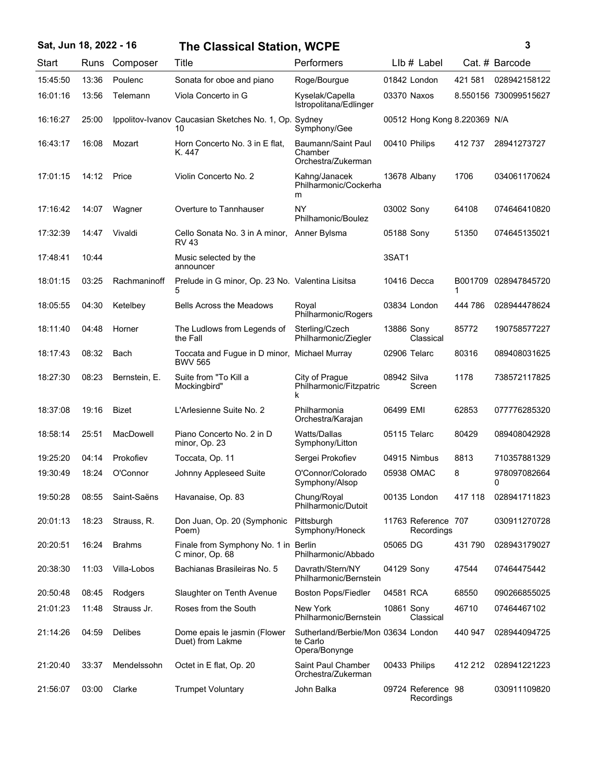## **Sat, Jun 18, 2022 - 16 3 The Classical Station, WCPE**

| Start    | Runs  | Composer         | <b>Title</b>                                                | Performers                                                      |             | LIb # Label                       |              | Cat. # Barcode        |
|----------|-------|------------------|-------------------------------------------------------------|-----------------------------------------------------------------|-------------|-----------------------------------|--------------|-----------------------|
| 15:45:50 | 13:36 | Poulenc          | Sonata for oboe and piano                                   | Roge/Bourgue                                                    |             | 01842 London                      | 421 581      | 028942158122          |
| 16:01:16 | 13:56 | Telemann         | Viola Concerto in G                                         | Kyselak/Capella<br>Istropolitana/Edlinger                       |             | 03370 Naxos                       |              | 8.550156 730099515627 |
| 16:16:27 | 25:00 |                  | Ippolitov-Ivanov Caucasian Sketches No. 1, Op. Sydney<br>10 | Symphony/Gee                                                    |             | 00512 Hong Kong 8.220369 N/A      |              |                       |
| 16:43:17 | 16:08 | Mozart           | Horn Concerto No. 3 in E flat,<br>K. 447                    | Baumann/Saint Paul<br>Chamber<br>Orchestra/Zukerman             |             | 00410 Philips                     | 412 737      | 28941273727           |
| 17:01:15 | 14:12 | Price            | Violin Concerto No. 2                                       | Kahng/Janacek<br>Philharmonic/Cockerha<br>m                     |             | 13678 Albany                      | 1706         | 034061170624          |
| 17:16:42 | 14:07 | Wagner           | Overture to Tannhauser                                      | NY<br>Philhamonic/Boulez                                        | 03002 Sony  |                                   | 64108        | 074646410820          |
| 17:32:39 | 14:47 | Vivaldi          | Cello Sonata No. 3 in A minor,<br><b>RV 43</b>              | Anner Bylsma                                                    | 05188 Sony  |                                   | 51350        | 074645135021          |
| 17:48:41 | 10:44 |                  | Music selected by the<br>announcer                          |                                                                 | 3SAT1       |                                   |              |                       |
| 18:01:15 | 03:25 | Rachmaninoff     | Prelude in G minor, Op. 23 No. Valentina Lisitsa<br>5       |                                                                 |             | 10416 Decca                       | B001709<br>1 | 028947845720          |
| 18:05:55 | 04:30 | Ketelbey         | <b>Bells Across the Meadows</b>                             | Royal<br>Philharmonic/Rogers                                    |             | 03834 London                      | 444 786      | 028944478624          |
| 18:11:40 | 04:48 | Horner           | The Ludlows from Legends of<br>the Fall                     | Sterling/Czech<br>Philharmonic/Ziegler                          | 13886 Sony  | Classical                         | 85772        | 190758577227          |
| 18:17:43 | 08:32 | Bach             | Toccata and Fugue in D minor,<br><b>BWV 565</b>             | Michael Murray                                                  |             | 02906 Telarc                      | 80316        | 089408031625          |
| 18:27:30 | 08:23 | Bernstein, E.    | Suite from "To Kill a<br>Mockingbird"                       | City of Prague<br>Philharmonic/Fitzpatric<br>k                  | 08942 Silva | Screen                            | 1178         | 738572117825          |
| 18:37:08 | 19:16 | <b>Bizet</b>     | L'Arlesienne Suite No. 2                                    | Philharmonia<br>Orchestra/Karajan                               | 06499 EMI   |                                   | 62853        | 077776285320          |
| 18:58:14 | 25:51 | <b>MacDowell</b> | Piano Concerto No. 2 in D<br>minor, Op. 23                  | <b>Watts/Dallas</b><br>Symphony/Litton                          |             | 05115 Telarc                      | 80429        | 089408042928          |
| 19:25:20 | 04:14 | Prokofiev        | Toccata, Op. 11                                             | Sergei Prokofiev                                                |             | 04915 Nimbus                      | 8813         | 710357881329          |
| 19:30:49 | 18:24 | O'Connor         | Johnny Appleseed Suite                                      | O'Connor/Colorado<br>Symphony/Alsop                             |             | 05938 OMAC                        | 8            | 978097082664<br>0     |
| 19:50:28 | 08:55 | Saint-Saëns      | Havanaise, Op. 83                                           | Chung/Royal<br>Philharmonic/Dutoit                              |             | 00135 London                      | 417 118      | 028941711823          |
| 20:01:13 | 18:23 | Strauss, R.      | Don Juan, Op. 20 (Symphonic<br>Poem)                        | Pittsburgh<br>Symphony/Honeck                                   |             | 11763 Reference 707<br>Recordings |              | 030911270728          |
| 20:20:51 | 16:24 | <b>Brahms</b>    | Finale from Symphony No. 1 in Berlin<br>C minor, Op. 68     | Philharmonic/Abbado                                             | 05065 DG    |                                   | 431790       | 028943179027          |
| 20:38:30 | 11:03 | Villa-Lobos      | Bachianas Brasileiras No. 5                                 | Davrath/Stern/NY<br>Philharmonic/Bernstein                      | 04129 Sony  |                                   | 47544        | 07464475442           |
| 20:50:48 | 08:45 | Rodgers          | Slaughter on Tenth Avenue                                   | <b>Boston Pops/Fiedler</b>                                      | 04581 RCA   |                                   | 68550        | 090266855025          |
| 21:01:23 | 11:48 | Strauss Jr.      | Roses from the South                                        | New York<br>Philharmonic/Bernstein                              | 10861 Sony  | Classical                         | 46710        | 07464467102           |
| 21:14:26 | 04:59 | <b>Delibes</b>   | Dome epais le jasmin (Flower<br>Duet) from Lakme            | Sutherland/Berbie/Mon 03634 London<br>te Carlo<br>Opera/Bonynge |             |                                   | 440 947      | 028944094725          |
| 21:20:40 | 33:37 | Mendelssohn      | Octet in E flat, Op. 20                                     | Saint Paul Chamber<br>Orchestra/Zukerman                        |             | 00433 Philips                     | 412 212      | 028941221223          |
| 21:56:07 | 03:00 | Clarke           | <b>Trumpet Voluntary</b>                                    | John Balka                                                      |             | 09724 Reference 98<br>Recordings  |              | 030911109820          |